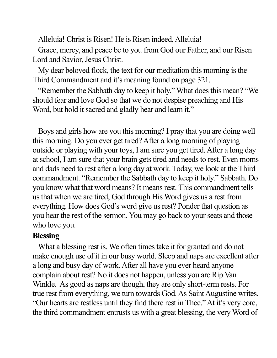Alleluia! Christ is Risen! He is Risen indeed, Alleluia!

Grace, mercy, and peace be to you from God our Father, and our Risen Lord and Savior, Jesus Christ.

My dear beloved flock, the text for our meditation this morning is the Third Commandment and it's meaning found on page 321.

"Remember the Sabbath day to keep it holy." What does this mean? "We should fear and love God so that we do not despise preaching and His Word, but hold it sacred and gladly hear and learn it."

Boys and girls how are you this morning? I pray that you are doing well this morning. Do you ever get tired? After a long morning of playing outside or playing with your toys, I am sure you get tired. After a long day at school, I am sure that your brain gets tired and needs to rest. Even moms and dads need to rest after a long day at work. Today, we look at the Third commandment. "Remember the Sabbath day to keep it holy." Sabbath. Do you know what that word means? It means rest. This commandment tells usthat when we are tired, God through His Word gives us a rest from everything. How does God's word give us rest? Ponder that question as you hear the rest of the sermon. You may go back to your seats and those who love you.

## **Blessing**

What a blessing rest is. We often times take it for granted and do not make enough use of it in our busy world. Sleep and naps are excellent after a long and busy day of work.After all have you ever heard anyone complain about rest? No it does not happen, unless you are Rip Van Winkle. As good as naps are though, they are only short-term rests. For true rest from everything, we turn towards God. As Saint Augustine writes, "Our hearts are restless until they find there rest in Thee." At it's very core, the third commandment entrusts us with a great blessing, the very Word of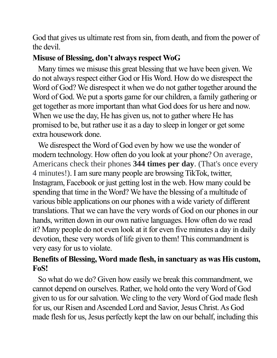God that gives us ultimate rest from sin, from death, and from the power of the devil.

## **Misuse of Blessing, don't always respect WoG**

Many times we misuse this great blessing that we have been given. We do not always respect either God or His Word. How do we disrespect the Word of God? We disrespect it when we do not gather together around the Word of God. We put a sports game for our children, a family gathering or get together as more important than what God does for us here and now. When we use the day, He has given us, not to gather where He has promised to be, but rather use it as a day to sleep in longer or get some extra housework done.

We disrespect the Word of God even by how we use the wonder of modern technology. How often do you look at your phone? On average, Americans check their phones **344 times per day**. (That's once every 4 minutes!). I am sure many people are browsing TikTok, twitter, Instagram, Facebook or just getting lost in the web. How many could be spending that time in the Word? We have the blessing of a multitude of various bible applications on our phones with a wide variety of different translations. That we can have the very words of God on our phones in our hands, written down in our own native languages. How often do we read it? Many people do not even look at it for even five minutes a day in daily devotion, these very words of life given to them! This commandment is very easy for us to violate.

## **Benefits of Blessing, Word made flesh, in sanctuary as was His custom, FoS!**

So what do we do? Given how easily we break this commandment, we cannot depend on ourselves. Rather, we hold onto the very Word of God given to us for our salvation. We cling to the very Word of God made flesh for us, our Risen and Ascended Lord and Savior, Jesus Christ. As God made flesh for us, Jesus perfectly kept the law on our behalf, including this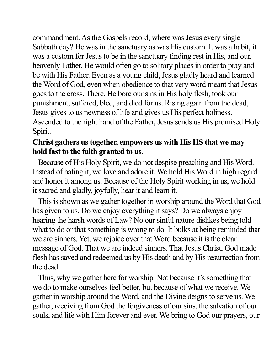commandment. As the Gospels record, where was Jesus every single Sabbath day? He was in the sanctuary as was His custom. It was a habit, it was a custom for Jesus to be in the sanctuary finding rest in His, and our, heavenly Father. He would often go to solitary places in order to pray and be with His Father. Even as a young child, Jesus gladly heard and learned the Word of God, even when obedience to that very word meant that Jesus goes to the cross. There, He bore our sinsin His holy flesh, took our punishment, suffered, bled, and died for us. Rising again from the dead, Jesus gives to us newness of life and gives us His perfect holiness. Ascended to the right hand of the Father, Jesus sends us His promised Holy Spirit.

## **Christ gathers us together, empowers us with His HS that we may hold fast to the faith granted to us.**

Because of His Holy Spirit, we do not despise preaching and His Word. Instead of hating it, we love and adore it. We hold His Word in high regard and honor it among us. Because of the Holy Spirit working in us, we hold it sacred and gladly, joyfully, hear it and learn it.

This is shown as we gather together in worship around the Word that God has given to us. Do we enjoy everything it says? Do we always enjoy hearing the harsh words of Law? No our sinful nature dislikes being told what to do or that something is wrong to do. It bulks at being reminded that we are sinners. Yet, we rejoice over that Word because it is the clear message of God. That we are indeed sinners. That Jesus Christ, God made flesh has saved and redeemed us by His death and by His resurrection from the dead.

Thus, why we gather here for worship. Not because it's something that we do to make ourselves feel better, but because of what we receive. We gather in worship around the Word, and the Divine deigns to serve us. We gather, receiving from God the forgiveness of our sins, the salvation of our souls, and life with Him forever and ever. We bring to God our prayers, our